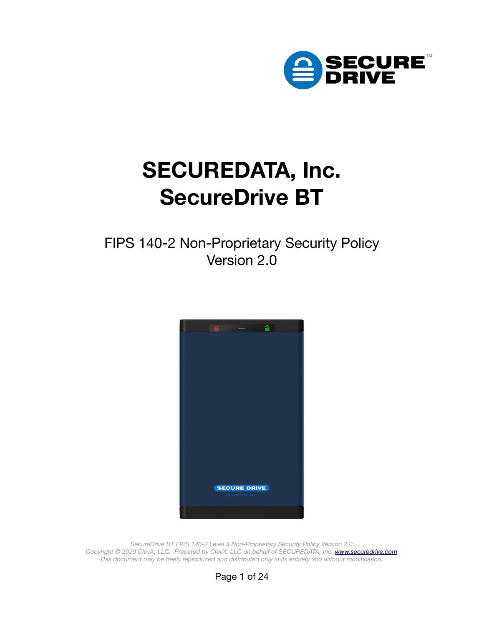

# **SECUREDATA, Inc. SecureDrive BT**

FIPS 140-2 Non-Proprietary Security Policy Version 2.0



*SecureDrive BT FIPS 140-2 Level 3 Non-Proprietary Security Policy Version 2.0* Copyright © 2020 ClevX, LLC. Prepared by ClevX, LLC on behalf of SECUREDATA, Inc. **[www.securedrive.com](https://www.securedrive.com/)** *This document may be freely reproduced and distributed only in its entirety and without modification.*

Page 1 of 24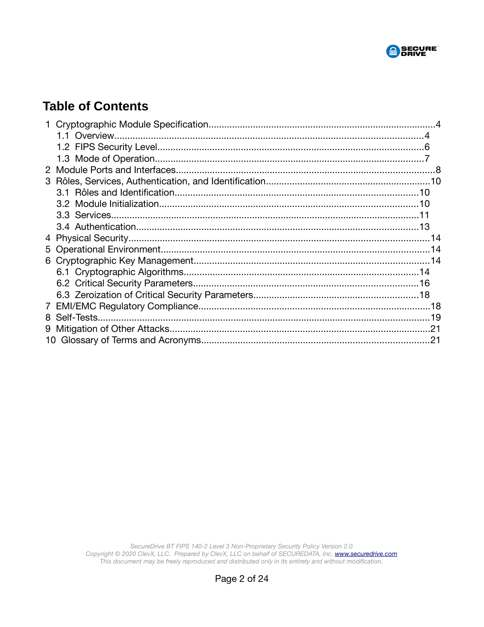

### **Table of Contents**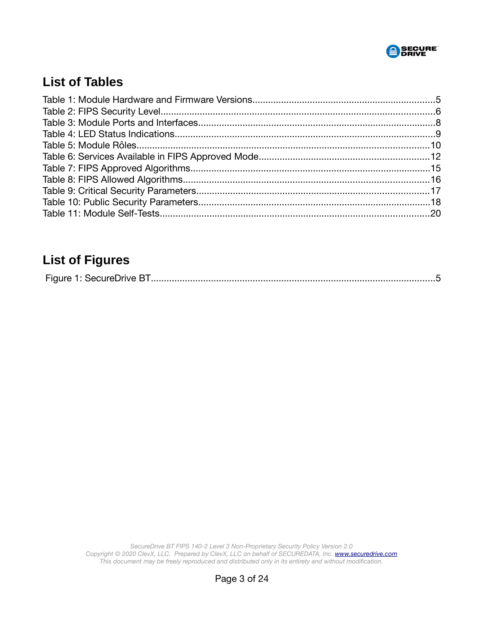

## **List of Tables**

## **List of Figures**

|--|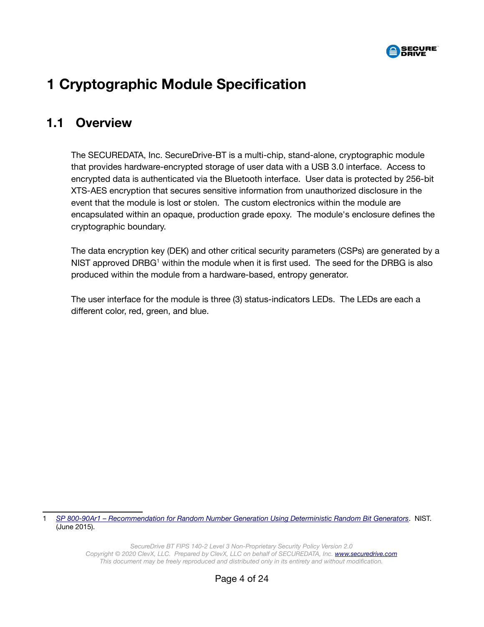

## <span id="page-3-1"></span> **1 Cryptographic Module Specification**

#### <span id="page-3-0"></span> **1.1 Overview**

The SECUREDATA, Inc. SecureDrive-BT is a multi-chip, stand-alone, cryptographic module that provides hardware-encrypted storage of user data with a USB 3.0 interface. Access to encrypted data is authenticated via the Bluetooth interface. User data is protected by 256-bit XTS-AES encryption that secures sensitive information from unauthorized disclosure in the event that the module is lost or stolen. The custom electronics within the module are encapsulated within an opaque, production grade epoxy. The module's enclosure defines the cryptographic boundary.

The data encryption key (DEK) and other critical security parameters (CSPs) are generated by a NIST approved DRBG<sup>[1](#page-3-2)</sup> within the module when it is first used. The seed for the DRBG is also produced within the module from a hardware-based, entropy generator.

The user interface for the module is three (3) status-indicators LEDs. The LEDs are each a different color, red, green, and blue.

<span id="page-3-2"></span>1 *[SP 800-90Ar1 – Recommendation for Random Number Generation Using Determini stic Random Bit Generators](https://csrc.nist.gov/publications/detail/sp/800-90a/rev-1/final)*. NIST. (June 2015).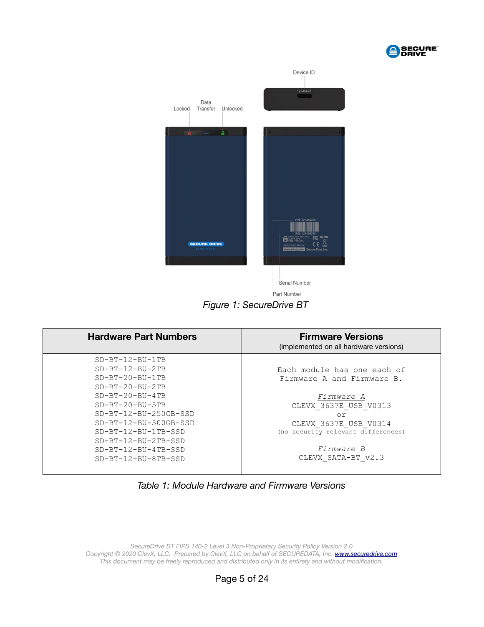



<span id="page-4-0"></span>

| <b>Hardware Part Numbers</b>                                                                                                                                                                                                                                                         | <b>Firmware Versions</b><br>(implemented on all hardware versions)                                                                                                                                               |
|--------------------------------------------------------------------------------------------------------------------------------------------------------------------------------------------------------------------------------------------------------------------------------------|------------------------------------------------------------------------------------------------------------------------------------------------------------------------------------------------------------------|
| $SD-BT-12-BU-1TB$<br>$SD-BT-12-BU-2TB$<br>$SD-BT-20-BU-1TB$<br>$SD-BT-20-BU-2TB$<br>$SD-BT-20-BU-4TB$<br>$SD-BT-20-BU-5TB$<br>$SD-BT-12-BU-250GB-SSD$<br>$SD-BT-12-BU-500GB-SSD$<br>$SD-BT-12-BU-1TB-SSD$<br>$SD-BT-12-BU-2TB-SSD$<br>$SD-BT-12-BU-4TB-SSD$<br>$SD-BT-12-BU-8TB-SSD$ | Each module has one each of<br>Firmware A and Firmware B.<br><i>Firmware A</i><br>CLEVX 3637E USB V0313<br>or<br>CLEVX 3637E USB V0314<br>(no security relevant differences)<br>Firmware B<br>CLEVX SATA-BT v2.3 |

*Table 1: Module Hardware and Firmware Versions*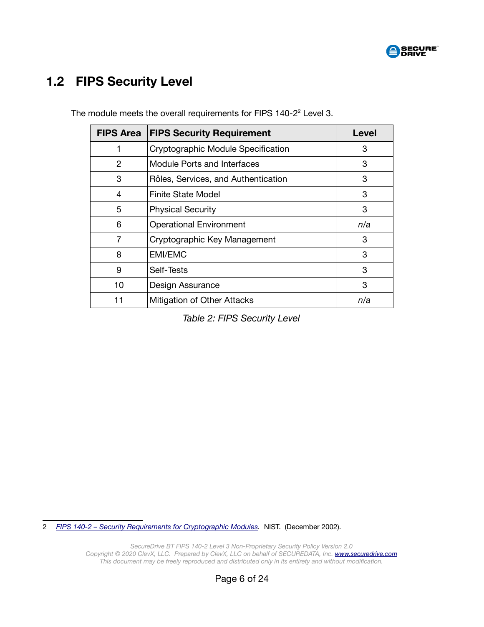

## <span id="page-5-0"></span> **1.2 FIPS Security Level**

| <b>FIPS Area</b>              | <b>FIPS Security Requirement</b>    | <b>Level</b> |
|-------------------------------|-------------------------------------|--------------|
|                               | Cryptographic Module Specification  | З            |
| 2                             | Module Ports and Interfaces         | 3            |
| 3                             | Rôles, Services, and Authentication | 3            |
| 4                             | Finite State Model                  | 3            |
| 5<br><b>Physical Security</b> |                                     | 3            |
| 6                             | <b>Operational Environment</b>      | n/a          |
| 7                             | Cryptographic Key Management        | З            |
| 8                             | <b>EMI/EMC</b>                      | 3            |
| 9                             | Self-Tests                          | 3            |
| 10                            | Design Assurance                    | 3            |
| 11                            | Mitigation of Other Attacks         | n/a          |

The module meets the overall requirements for FIPS  $140-2^2$  $140-2^2$  $140-2^2$  Level 3.

*Table 2: FIPS Security Level*

<span id="page-5-1"></span>2 *[FIPS 140-2 – Security Requirements for Cryptographic Modules.](https://csrc.nist.gov/publications/detail/fips/140/2/final)* NIST. (December 2002).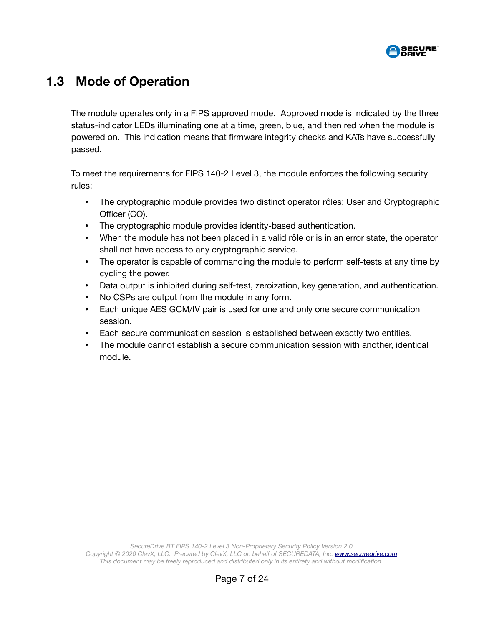

#### <span id="page-6-0"></span> **1.3 Mode of Operation**

The module operates only in a FIPS approved mode. Approved mode is indicated by the three status-indicator LEDs illuminating one at a time, green, blue, and then red when the module is powered on. This indication means that firmware integrity checks and KATs have successfully passed.

To meet the requirements for FIPS 140-2 Level 3, the module enforces the following security rules:

- The cryptographic module provides two distinct operator rôles: User and Cryptographic Officer (CO).
- The cryptographic module provides identity-based authentication.
- When the module has not been placed in a valid rôle or is in an error state, the operator shall not have access to any cryptographic service.
- The operator is capable of commanding the module to perform self-tests at any time by cycling the power.
- Data output is inhibited during self-test, zeroization, key generation, and authentication.
- No CSPs are output from the module in any form.
- Each unique AES GCM/IV pair is used for one and only one secure communication session.
- Each secure communication session is established between exactly two entities.
- The module cannot establish a secure communication session with another, identical module.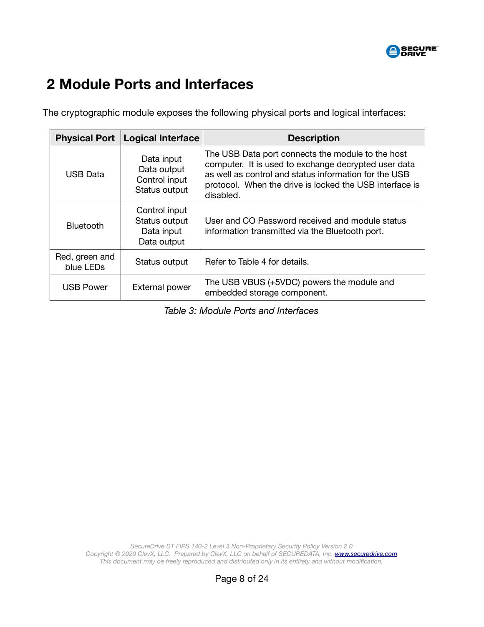

## <span id="page-7-0"></span> **2 Module Ports and Interfaces**

The cryptographic module exposes the following physical ports and logical interfaces:

| <b>Logical Interface</b><br><b>Physical Port</b> |                                                             | <b>Description</b>                                                                                                                                                                                                                         |  |  |
|--------------------------------------------------|-------------------------------------------------------------|--------------------------------------------------------------------------------------------------------------------------------------------------------------------------------------------------------------------------------------------|--|--|
| <b>USB Data</b>                                  | Data input<br>Data output<br>Control input<br>Status output | The USB Data port connects the module to the host<br>computer. It is used to exchange decrypted user data<br>as well as control and status information for the USB<br>protocol. When the drive is locked the USB interface is<br>disabled. |  |  |
| <b>Bluetooth</b>                                 | Control input<br>Status output<br>Data input<br>Data output | User and CO Password received and module status<br>information transmitted via the Bluetooth port.                                                                                                                                         |  |  |
| Red, green and<br>blue LEDs                      | Status output                                               | Refer to Table 4 for details.                                                                                                                                                                                                              |  |  |
| <b>USB Power</b>                                 | External power                                              | The USB VBUS (+5VDC) powers the module and<br>embedded storage component.                                                                                                                                                                  |  |  |

*Table 3: Module Ports and Interfaces*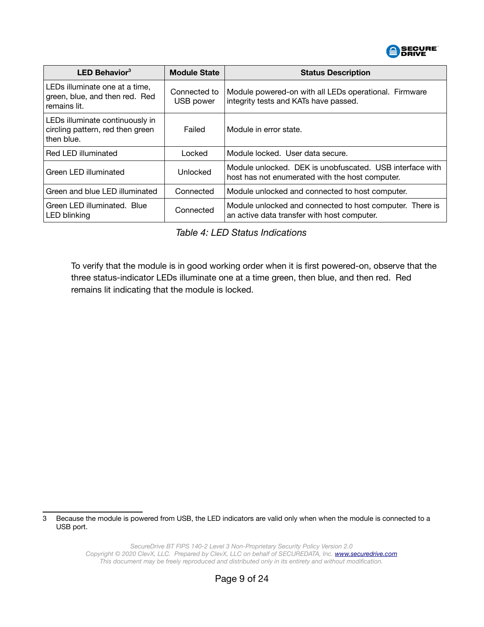

| <b>LED Behavior</b> $3$                                                                                       | <b>Module State</b> | <b>Status Description</b>                                                                                   |  |
|---------------------------------------------------------------------------------------------------------------|---------------------|-------------------------------------------------------------------------------------------------------------|--|
| LEDs illuminate one at a time,<br>Connected to<br>green, blue, and then red. Red<br>USB power<br>remains lit. |                     | Module powered-on with all LEDs operational. Firmware<br>integrity tests and KATs have passed.              |  |
| LEDs illuminate continuously in<br>circling pattern, red then green<br>Failed<br>then blue.                   |                     | Module in error state.                                                                                      |  |
| Red LED illuminated                                                                                           | Locked              | Module locked. User data secure.                                                                            |  |
| Green LED illuminated                                                                                         | Unlocked            | Module unlocked. DEK is unobfuscated. USB interface with<br>host has not enumerated with the host computer. |  |
| Green and blue LED illuminated                                                                                | Connected           | Module unlocked and connected to host computer.                                                             |  |
| Green LED illuminated. Blue<br>LED blinking                                                                   | Connected           | Module unlocked and connected to host computer. There is<br>an active data transfer with host computer.     |  |

#### <span id="page-8-0"></span>*Table 4: LED Status Indications*

To verify that the module is in good working order when it is first powered-on, observe that the three status-indicator LEDs illuminate one at a time green, then blue, and then red. Red remains lit indicating that the module is locked.

<span id="page-8-1"></span>3 Because the module is powered from USB, the LED indicators are valid only when when the module is connected to a USB port.

> *SecureDrive BT FIPS 140-2 Level 3 Non-Proprietary Security Policy Version 2.0 Copyright © 2020 ClevX, LLC. Prepared by ClevX, LLC on behalf of SECUREDATA, Inc. [www.securedrive.com](https://www.securedrive.com/) This document may be freely reproduced and distributed only in its entirety and without modification.*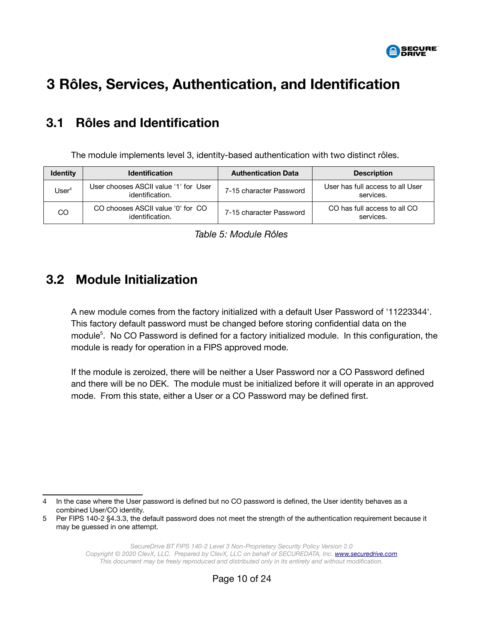

## <span id="page-9-2"></span> **3 Rôles, Services, Authentication, and Identification**

## <span id="page-9-1"></span> **3.1 Rôles and Identification**

The module implements level 3, identity-based authentication with two distinct rôles.

| <b>Identity</b>   | <b>Identification</b>                                    | <b>Authentication Data</b> | <b>Description</b>                            |
|-------------------|----------------------------------------------------------|----------------------------|-----------------------------------------------|
| User <sup>4</sup> | User chooses ASCII value '1' for User<br>identification. | 7-15 character Password    | User has full access to all User<br>services. |
| CO                | CO chooses ASCII value '0' for CO<br>identification.     | 7-15 character Password    | CO has full access to all CO<br>services.     |

#### <span id="page-9-0"></span> **3.2 Module Initialization**

A new module comes from the factory initialized with a default User Password of '11223344'. This factory default password must be changed before storing confidential data on the module<sup>[5](#page-9-4)</sup>. No CO Password is defined for a factory initialized module. In this configuration, the module is ready for operation in a FIPS approved mode.

If the module is zeroized, there will be neither a User Password nor a CO Password defined and there will be no DEK. The module must be initialized before it will operate in an approved mode. From this state, either a User or a CO Password may be defined first.

<span id="page-9-3"></span><sup>4</sup> In the case where the User password is defined but no CO password is defined, the User identity behaves as a combined User/CO identity.

<span id="page-9-4"></span><sup>5</sup> Per FIPS 140-2 §4.3.3, the default password does not meet the strength of the authentication requirement because it may be guessed in one attempt.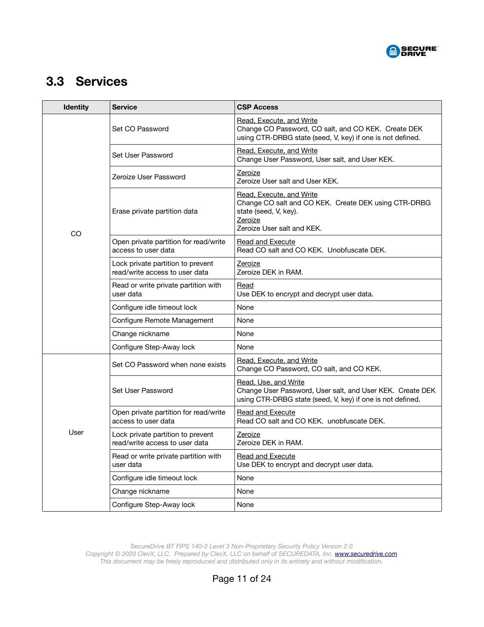

## <span id="page-10-0"></span> **3.3 Services**

| <b>Identity</b> | <b>Service</b>                                                      | <b>CSP Access</b>                                                                                                                                  |  |
|-----------------|---------------------------------------------------------------------|----------------------------------------------------------------------------------------------------------------------------------------------------|--|
|                 | Set CO Password                                                     | Read, Execute, and Write<br>Change CO Password, CO salt, and CO KEK. Create DEK<br>using CTR-DRBG state (seed, V, key) if one is not defined.      |  |
|                 | Set User Password                                                   | Read, Execute, and Write<br>Change User Password, User salt, and User KEK.                                                                         |  |
|                 | Zeroize User Password                                               | Zeroize<br>Zeroize User salt and User KEK.                                                                                                         |  |
| CO              | Erase private partition data                                        | Read, Execute, and Write<br>Change CO salt and CO KEK. Create DEK using CTR-DRBG<br>state (seed, V, key).<br>Zeroize<br>Zeroize User salt and KEK. |  |
|                 | Open private partition for read/write<br>access to user data        | Read and Execute<br>Read CO salt and CO KEK. Unobfuscate DEK.                                                                                      |  |
|                 | Lock private partition to prevent<br>read/write access to user data | Zeroize<br>Zeroize DEK in RAM.                                                                                                                     |  |
|                 | Read or write private partition with<br>user data                   | Read<br>Use DEK to encrypt and decrypt user data.                                                                                                  |  |
|                 | Configure idle timeout lock                                         | None                                                                                                                                               |  |
|                 | Configure Remote Management                                         | None                                                                                                                                               |  |
|                 | Change nickname                                                     | None                                                                                                                                               |  |
|                 | Configure Step-Away lock                                            | None                                                                                                                                               |  |
|                 | Set CO Password when none exists                                    | Read, Execute, and Write<br>Change CO Password, CO salt, and CO KEK.                                                                               |  |
|                 | Set User Password                                                   | Read, Use, and Write<br>Change User Password, User salt, and User KEK. Create DEK<br>using CTR-DRBG state (seed, V, key) if one is not defined.    |  |
|                 | Open private partition for read/write<br>access to user data        | <b>Read and Execute</b><br>Read CO salt and CO KEK. unobfuscate DEK.                                                                               |  |
| User            | Lock private partition to prevent<br>read/write access to user data | Zeroize<br>Zeroize DEK in RAM.                                                                                                                     |  |
|                 | Read or write private partition with<br>user data                   | Read and Execute<br>Use DEK to encrypt and decrypt user data.                                                                                      |  |
|                 | Configure idle timeout lock                                         | None                                                                                                                                               |  |
|                 | Change nickname                                                     | None                                                                                                                                               |  |
|                 | Configure Step-Away lock                                            | None                                                                                                                                               |  |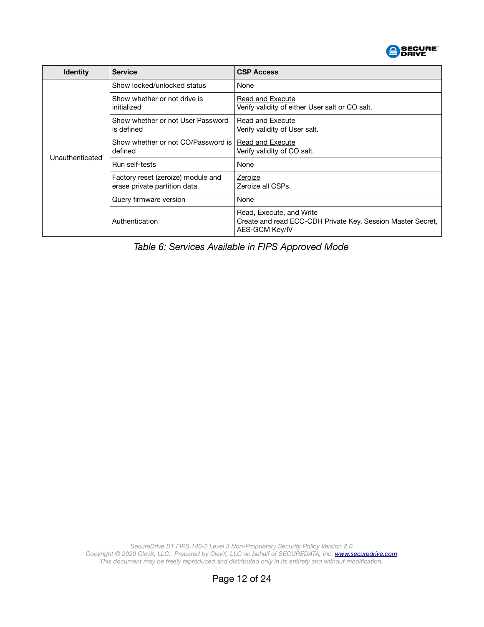

| <b>Identity</b> | <b>Service</b>                                                     | <b>CSP Access</b>                                                                                         |  |
|-----------------|--------------------------------------------------------------------|-----------------------------------------------------------------------------------------------------------|--|
|                 | Show locked/unlocked status                                        | None                                                                                                      |  |
|                 | Show whether or not drive is<br>initialized                        | Read and Execute<br>Verify validity of either User salt or CO salt.                                       |  |
|                 | Show whether or not User Password<br>is defined                    | <b>Read and Execute</b><br>Verify validity of User salt.                                                  |  |
| Unauthenticated | Show whether or not CO/Password is<br>defined                      | Read and Execute<br>Verify validity of CO salt.                                                           |  |
|                 | Run self-tests                                                     | None                                                                                                      |  |
|                 | Factory reset (zeroize) module and<br>erase private partition data | Zeroize<br>Zeroize all CSPs.                                                                              |  |
|                 | Query firmware version                                             | None                                                                                                      |  |
|                 | Authentication                                                     | Read, Execute, and Write<br>Create and read ECC-CDH Private Key, Session Master Secret,<br>AES-GCM Key/IV |  |

*Table 6: Services Available in FIPS Approved Mode*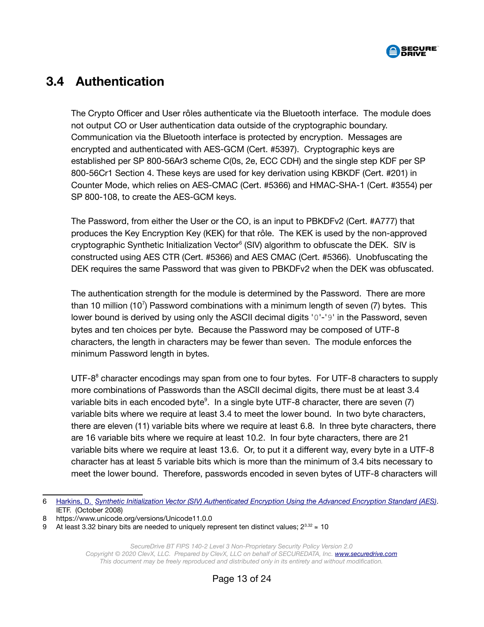

#### <span id="page-12-0"></span> **3.4 Authentication**

The Crypto Officer and User rôles authenticate via the Bluetooth interface. The module does not output CO or User authentication data outside of the cryptographic boundary. Communication via the Bluetooth interface is protected by encryption. Messages are encrypted and authenticated with AES-GCM (Cert. #5397). Cryptographic keys are established per SP 800-56Ar3 scheme C(0s, 2e, ECC CDH) and the single step KDF per SP 800-56Cr1 Section 4. These keys are used for key derivation using KBKDF (Cert. #201) in Counter Mode, which relies on AES-CMAC (Cert. #5366) and HMAC-SHA-1 (Cert. #3554) per SP 800-108, to create the AES-GCM keys.

The Password, from either the User or the CO, is an input to PBKDFv2 (Cert. #A777) that produces the Key Encryption Key (KEK) for that rôle. The KEK is used by the non-approved cryptographic Synthetic Initialization Vector<sup>[6](#page-12-1)</sup> (SIV) algorithm to obfuscate the DEK. SIV is constructed using AES CTR (Cert. #5366) and AES CMAC (Cert. #5366). Unobfuscating the DEK requires the same Password that was given to PBKDFv2 when the DEK was obfuscated.

The authentication strength for the module is determined by the Password. There are more than 10 million (10<sup>7</sup>) Password combinations with a minimum length of seven (7) bytes. This lower bound is derived by using only the ASCII decimal digits '0'-'9' in the Password, seven bytes and ten choices per byte. Because the Password may be composed of UTF-8 characters, the length in characters may be fewer than seven. The module enforces the minimum Password length in bytes.

UTF-[8](#page-12-2)<sup>8</sup> character encodings may span from one to four bytes. For UTF-8 characters to supply more combinations of Passwords than the ASCII decimal digits, there must be at least 3.4 variable bits in each encoded byte $9$ . In a single byte UTF-8 character, there are seven (7) variable bits where we require at least 3.4 to meet the lower bound. In two byte characters, there are eleven (11) variable bits where we require at least 6.8. In three byte characters, there are 16 variable bits where we require at least 10.2. In four byte characters, there are 21 variable bits where we require at least 13.6. Or, to put it a different way, every byte in a UTF-8 character has at least 5 variable bits which is more than the minimum of 3.4 bits necessary to meet the lower bound. Therefore, passwords encoded in seven bytes of UTF-8 characters will

<span id="page-12-1"></span><sup>6</sup> [Harkins, D.](https://tools.ietf.org/html/rfc5297) *[Synthetic Initialization Vector \(SIV\) Authenticated Encryption Using the Advanced Encryption Standard \(AES\)](https://tools.ietf.org/html/rfc5297)*. IETF. (October 2008)

<span id="page-12-2"></span><sup>8</sup> https://www.unicode.org/versions/Unicode11.0.0

<span id="page-12-3"></span><sup>9</sup> At least 3.32 binary bits are needed to uniquely represent ten distinct values;  $2^{3.32}$  ≤ 10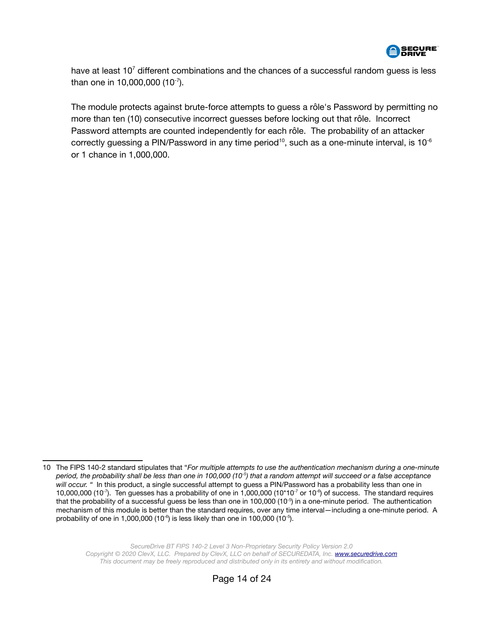

have at least  $10<sup>7</sup>$  different combinations and the chances of a successful random guess is less than one in 10,000,000  $(10^{-7})$ .

The module protects against brute-force attempts to guess a rôle's Password by permitting no more than ten (10) consecutive incorrect guesses before locking out that rôle. Incorrect Password attempts are counted independently for each rôle. The probability of an attacker correctly guessing a PIN/Password in any time period<sup>[10](#page-13-0)</sup>, such as a one-minute interval, is 10<sup>-6</sup> or 1 chance in 1,000,000.

<span id="page-13-0"></span><sup>10</sup> The FIPS 140-2 standard stipulates that "*For multiple attempts to use the authentication mechanism during a one-minute period, the probability shall be less than one in 100,000 (10-5) that a random attempt will succeed or a false acceptance will occur. "* In this product, a single successful attempt to guess a PIN/Password has a probability less than one in 10,000,000 (10<sup>-7</sup>). Ten guesses has a probability of one in 1,000,000 (10\*10<sup>-7</sup> or 10<sup>-6</sup>) of success. The standard requires that the probability of a successful guess be less than one in 100,000  $(10^{-5})$  in a one-minute period. The authentication mechanism of this module is better than the standard requires, over any time interval—including a one-minute period. A probability of one in 1,000,000 (10 $\textdegree{}$ ) is less likely than one in 100,000 (10 $\textdegree{}$ ).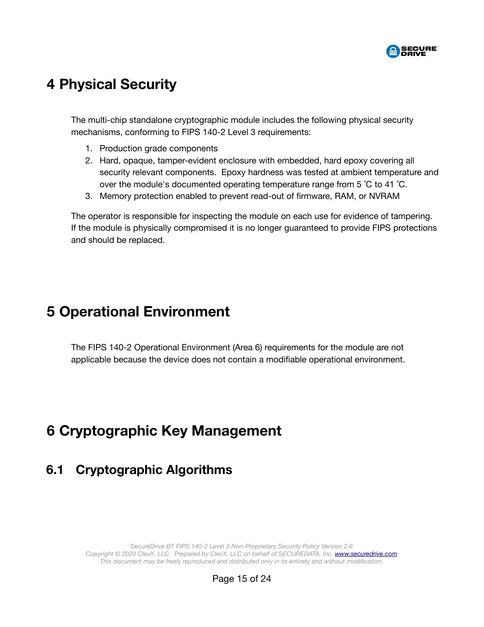

## <span id="page-14-3"></span> **4 Physical Security**

The multi-chip standalone cryptographic module includes the following physical security mechanisms, conforming to FIPS 140-2 Level 3 requirements:

- 1. Production grade components
- 2. Hard, opaque, tamper-evident enclosure with embedded, hard epoxy covering all security relevant components. Epoxy hardness was tested at ambient temperature and over the module's documented operating temperature range from  $5^{\circ}$ C to 41  $^{\circ}$ C.
- 3. Memory protection enabled to prevent read-out of firmware, RAM, or NVRAM

The operator is responsible for inspecting the module on each use for evidence of tampering. If the module is physically compromised it is no longer guaranteed to provide FIPS protections and should be replaced.

## <span id="page-14-2"></span> **5 Operational Environment**

The FIPS 140-2 Operational Environment (Area 6) requirements for the module are not applicable because the device does not contain a modifiable operational environment.

## <span id="page-14-1"></span> **6 Cryptographic Key Management**

#### <span id="page-14-0"></span> **6.1 Cryptographic Algorithms**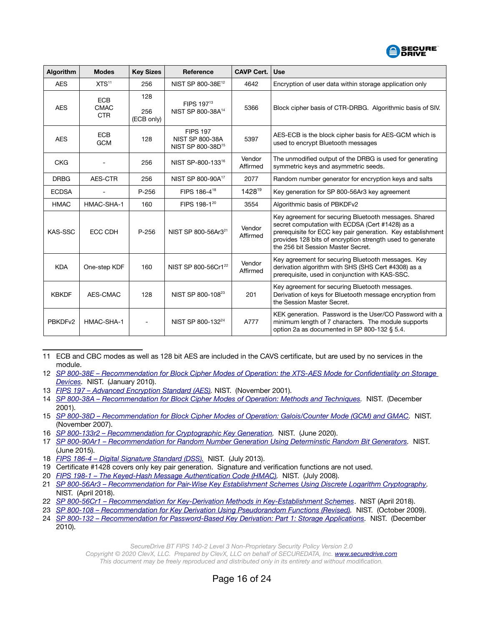

| Algorithm           | <b>Modes</b>                            | <b>Key Sizes</b>         | Reference                                                                  | <b>CAVP Cert.</b>  | <b>Use</b>                                                                                                                                                                                                                                                                 |
|---------------------|-----------------------------------------|--------------------------|----------------------------------------------------------------------------|--------------------|----------------------------------------------------------------------------------------------------------------------------------------------------------------------------------------------------------------------------------------------------------------------------|
| <b>AES</b>          | XTS <sup>11</sup>                       | 256                      | NIST SP 800-38E <sup>12</sup>                                              | 4642               | Encryption of user data within storage application only                                                                                                                                                                                                                    |
| <b>AES</b>          | <b>ECB</b><br><b>CMAC</b><br><b>CTR</b> | 128<br>256<br>(ECB only) | FIPS 197 <sup>13</sup><br>NIST SP 800-38A <sup>14</sup>                    | 5366               | Block cipher basis of CTR-DRBG. Algorithmic basis of SIV.                                                                                                                                                                                                                  |
| <b>AES</b>          | <b>ECB</b><br><b>GCM</b>                | 128                      | <b>FIPS 197</b><br><b>NIST SP 800-38A</b><br>NIST SP 800-38D <sup>15</sup> | 5397               | AES-ECB is the block cipher basis for AES-GCM which is<br>used to encrypt Bluetooth messages                                                                                                                                                                               |
| <b>CKG</b>          |                                         | 256                      | NIST SP-800-13316                                                          | Vendor<br>Affirmed | The unmodified output of the DRBG is used for generating<br>symmetric keys and asymmetric seeds.                                                                                                                                                                           |
| <b>DRBG</b>         | AES-CTR                                 | 256                      | NIST SP 800-90A <sup>17</sup>                                              | 2077               | Random number generator for encryption keys and salts                                                                                                                                                                                                                      |
| <b>ECDSA</b>        |                                         | $P - 256$                | FIPS 186-4 <sup>18</sup>                                                   | 142819             | Key generation for SP 800-56Ar3 key agreement                                                                                                                                                                                                                              |
| <b>HMAC</b>         | HMAC-SHA-1                              | 160                      | FIPS 198-1 <sup>20</sup>                                                   | 3554               | Algorithmic basis of PBKDFv2                                                                                                                                                                                                                                               |
| KAS-SSC             | ECC CDH                                 | $P - 256$                | NIST SP 800-56Ar3 <sup>21</sup>                                            | Vendor<br>Affirmed | Key agreement for securing Bluetooth messages. Shared<br>secret computation with ECDSA (Cert #1428) as a<br>prerequisite for ECC key pair generation. Key establishment<br>provides 128 bits of encryption strength used to generate<br>the 256 bit Session Master Secret. |
| <b>KDA</b>          | One-step KDF                            | 160                      | NIST SP 800-56Cr1 <sup>22</sup>                                            | Vendor<br>Affirmed | Key agreement for securing Bluetooth messages. Key<br>derivation algorithm with SHS (SHS Cert #4308) as a<br>prerequisite, used in conjunction with KAS-SSC.                                                                                                               |
| <b>KBKDF</b>        | AES-CMAC                                | 128                      | NIST SP 800-108 <sup>23</sup>                                              | 201                | Key agreement for securing Bluetooth messages.<br>Derivation of keys for Bluetooth message encryption from<br>the Session Master Secret.                                                                                                                                   |
| PBKDF <sub>v2</sub> | HMAC-SHA-1                              |                          | NIST SP 800-132 <sup>24</sup>                                              | A777               | KEK generation. Password is the User/CO Password with a<br>minimum length of 7 characters. The module supports<br>option 2a as documented in SP 800-132 § 5.4.                                                                                                             |

<span id="page-15-0"></span><sup>11</sup> ECB and CBC modes as well as 128 bit AES are included in the CAVS certificate, but are used by no services in the module.

<span id="page-15-9"></span>20 *[FIPS 198-1 – The Keyed-Hash Message Authentication Code \(HMAC\).](https://csrc.nist.gov/publications/detail/fips/198/1/final)* NIST. (July 2008).

*SecureDrive BT FIPS 140-2 Level 3 Non-Proprietary Security Policy Version 2.0*

*Copyright © 2020 ClevX, LLC. Prepared by ClevX, LLC on behalf of SECUREDATA, Inc. [www.securedrive.com](https://www.securedrive.com/) This document may be freely reproduced and distributed only in its entirety and without modification.*

<span id="page-15-1"></span><sup>12</sup> *[SP 800-38E – Recommendation for Block Cipher Modes of Operation: the XTS-AES Mode for Confidentiality on Storage](https://csrc.nist.gov/publications/detail/sp/800-38e/final)*  Devices. NIST. (January 2010).

<span id="page-15-2"></span><sup>13</sup> *[FIPS 197 – Advanced Encryption Standard \(AES\).](https://csrc.nist.gov/publications/detail/fips/197/final)* NIST. (November 2001).

<span id="page-15-3"></span><sup>14</sup> *[SP 800-38A – Recommendation for Block Cipher Modes of Operation: Methods and Techniques](https://csrc.nist.gov/publications/detail/sp/800-38a/final).* NIST. (December 2001).

<span id="page-15-4"></span><sup>15</sup> *[SP 800-38D – Recommendation for Block Cipher Modes of Operation: Galois/Counter Mode \(GCM\) and GMAC](https://csrc.nist.gov/publications/detail/sp/800-38d/final).* NIST. (November 2007).

<span id="page-15-5"></span><sup>16</sup> SP 800-133r2 - Recommendation for Cryptographic Key Generation. NIST. (June 2020).

<span id="page-15-6"></span><sup>17</sup> *[SP 800-90Ar1 – Recommendation for Random Number Generation Using Determinstic Random Bit Generators](https://csrc.nist.gov/publications/detail/sp/800-90a/rev-1/final).* NIST. (June 2015).

<span id="page-15-7"></span><sup>18</sup> *[FIPS 186-4 – Digital Signature Standard \(DSS\).](https://csrc.nist.gov/publications/detail/fips/186/4/final)* NIST. (July 2013).

<span id="page-15-8"></span><sup>19</sup> Certificate #1428 covers only key pair generation. Signature and verification functions are not used.

<span id="page-15-10"></span><sup>21</sup> SP 800-56Ar3 – Recommendation for Pair-Wise Key Establishment Schemes Using Discrete Logarithm Cryptography. NIST. (April 2018).

<span id="page-15-11"></span><sup>22</sup> *[SP 800-56Cr 1 – Recommendation for Key-Derivation Methods in Key-Establishment Schemes](https://doi.org/10.6028/NIST.SP.800-56Cr2)*. NIST (April 2018).

<span id="page-15-12"></span><sup>23</sup> *[SP 800-108 – Recommendation for Key Derivation Using Pseudorandom Functions \(Revised\)](https://csrc.nist.gov/publications/detail/sp/800-108/final).* NIST. (October 2009).

<span id="page-15-13"></span><sup>24</sup> *[SP 800-132](https://csrc.nist.gov/publications/detail/sp/800-132/final) [–](https://csrc.nist.gov/publications/detail/sp/800-90a/rev-1/final) [Recommendation for Password-Based Key Derivation: Part 1: Storage Applications](https://csrc.nist.gov/publications/detail/sp/800-132/final).* NIST. (December 2010).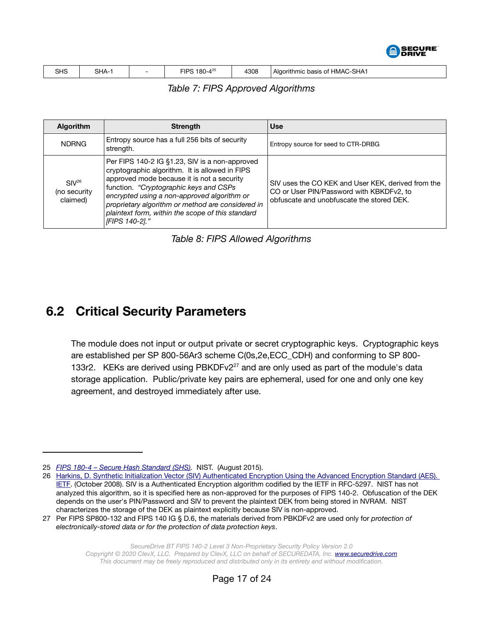

| SHS<br>$ -$ | <b>SHA</b> |  | יריי<br>'or<br>$\Lambda$<br>ш<br>.ou- | 4308 | <b>SHA1</b><br><b>HMAC</b><br>Algorithmic<br>basis<br>$\sim$ |
|-------------|------------|--|---------------------------------------|------|--------------------------------------------------------------|
|-------------|------------|--|---------------------------------------|------|--------------------------------------------------------------|

*Table 7: FIPS Approved Algorithms*

| <b>Algorithm</b>                              | <b>Strength</b>                                                                                                                                                                                                                                                                                                                                                     | <b>Use</b>                                                                                                                                  |
|-----------------------------------------------|---------------------------------------------------------------------------------------------------------------------------------------------------------------------------------------------------------------------------------------------------------------------------------------------------------------------------------------------------------------------|---------------------------------------------------------------------------------------------------------------------------------------------|
| <b>NDRNG</b>                                  | Entropy source has a full 256 bits of security<br>strength.                                                                                                                                                                                                                                                                                                         | Entropy source for seed to CTR-DRBG                                                                                                         |
| SIV <sup>26</sup><br>(no security<br>claimed) | Per FIPS 140-2 IG §1.23, SIV is a non-approved<br>cryptographic algorithm. It is allowed in FIPS<br>approved mode because it is not a security<br>function. "Cryptographic keys and CSPs<br>encrypted using a non-approved algorithm or<br>proprietary algorithm or method are considered in<br>plaintext form, within the scope of this standard<br>[FIPS 140-2]." | SIV uses the CO KEK and User KEK, derived from the<br>CO or User PIN/Password with KBKDFv2, to<br>obfuscate and unobfuscate the stored DEK. |

*Table 8: FIPS Allowed Algorithms*

### <span id="page-16-0"></span> **6.2 Critical Security Parameters**

The module does not input or output private or secret cryptographic keys. Cryptographic keys are established per SP 800-56Ar3 scheme C(0s,2e,ECC\_CDH) and conforming to SP 800- 133r2. KEKs are derived using PBKDFv2<sup>[27](#page-16-3)</sup> and are only used as part of the module's data storage application. Public/private key pairs are ephemeral, used for one and only one key agreement, and destroyed immediately after use.

<span id="page-16-1"></span><sup>25</sup> *[FIPS 180-4 – Secure Hash Standard \(SHS\)](https://csrc.nist.gov/publications/detail/fips/180/4/final).* NIST. (August 2015).

<span id="page-16-2"></span><sup>26</sup> [Harkins, D. Synthetic Initialization Vector \(SIV\) Authenticated Encryption Using the Advanced Encryption Standard \(AES\).](https://tools.ietf.org/html/rfc5297)  [IETF](https://tools.ietf.org/html/rfc5297). (October 2008). SIV is a Authenticated Encryption algorithm codified by the IETF in RFC-5297. NIST has not analyzed this algorithm, so it is specified here as non-approved for the purposes of FIPS 140-2. Obfuscation of the DEK depends on the user's PIN/Password and SIV to prevent the plaintext DEK from being stored in NVRAM. NIST characterizes the storage of the DEK as plaintext explicitly because SIV is non-approved.

<span id="page-16-3"></span><sup>27</sup> Per FIPS SP800-132 and FIPS 140 IG § D.6, the materials derived from PBKDFv2 are used only for *protection of electronically-stored data or for the protection of data protection keys*.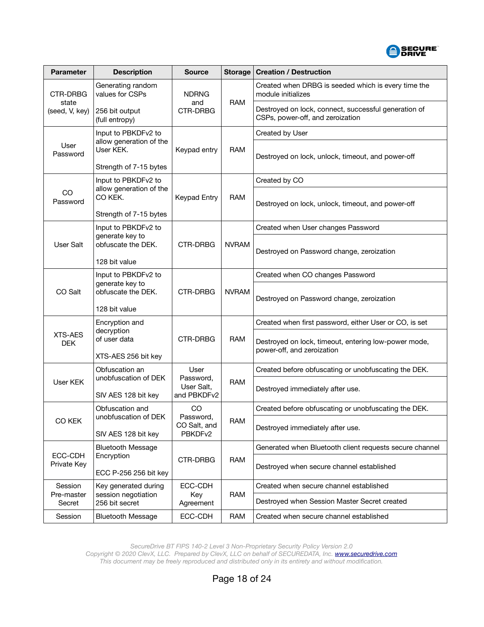

| <b>Parameter</b>             | <b>Description</b>                                           | <b>Source</b>               | <b>Storage</b> | <b>Creation / Destruction</b>                                                            |
|------------------------------|--------------------------------------------------------------|-----------------------------|----------------|------------------------------------------------------------------------------------------|
| <b>CTR-DRBG</b>              | Generating random<br>values for CSPs                         | <b>NDRNG</b>                | <b>RAM</b>     | Created when DRBG is seeded which is every time the<br>module initializes                |
| state<br>(seed, V, key)      | 256 bit output<br>(full entropy)                             | and<br><b>CTR-DRBG</b>      |                | Destroyed on lock, connect, successful generation of<br>CSPs, power-off, and zeroization |
|                              | Input to PBKDFv2 to                                          | Keypad entry                | <b>RAM</b>     | Created by User                                                                          |
| User<br>Password             | allow generation of the<br>User KEK.                         |                             |                | Destroyed on lock, unlock, timeout, and power-off                                        |
|                              | Strength of 7-15 bytes                                       |                             |                |                                                                                          |
|                              | Input to PBKDFv2 to<br>allow generation of the               |                             | <b>RAM</b>     | Created by CO                                                                            |
| CO<br>Password               | CO KEK.                                                      | Keypad Entry                |                | Destroyed on lock, unlock, timeout, and power-off                                        |
|                              | Strength of 7-15 bytes                                       |                             |                |                                                                                          |
|                              | Input to PBKDFv2 to<br>generate key to                       |                             |                | Created when User changes Password                                                       |
| User Salt                    | obfuscate the DEK.                                           | CTR-DRBG                    | <b>NVRAM</b>   | Destroyed on Password change, zeroization                                                |
|                              | 128 bit value                                                |                             |                |                                                                                          |
|                              | Input to PBKDFv2 to<br>generate key to<br>obfuscate the DEK. | <b>CTR-DRBG</b>             |                | Created when CO changes Password                                                         |
| CO Salt                      |                                                              |                             | <b>NVRAM</b>   | Destroyed on Password change, zeroization                                                |
|                              | 128 bit value                                                |                             |                |                                                                                          |
|                              | Encryption and                                               |                             | <b>RAM</b>     | Created when first password, either User or CO, is set                                   |
| <b>XTS-AES</b><br><b>DEK</b> | decryption<br>of user data                                   | CTR-DRBG                    |                | Destroyed on lock, timeout, entering low-power mode,<br>power-off, and zeroization       |
|                              | XTS-AES 256 bit key                                          |                             |                |                                                                                          |
|                              | Obfuscation an<br>unobfuscation of DEK                       | User<br>Password,           | <b>RAM</b>     | Created before obfuscating or unobfuscating the DEK.                                     |
| User KEK                     | SIV AES 128 bit key                                          | User Salt,<br>and PBKDFv2   |                | Destroyed immediately after use.                                                         |
|                              | Obfuscation and<br>unobfuscation of DEK                      | CO<br>Password,             | <b>RAM</b>     | Created before obfuscating or unobfuscating the DEK.                                     |
| CO KEK                       |                                                              |                             |                |                                                                                          |
|                              | SIV AES 128 bit key                                          | CO Salt, and<br>PBKDFv2     |                | Destroyed immediately after use.                                                         |
| ECC-CDH<br>Private Key       | <b>Bluetooth Message</b><br>Encryption                       | CTR-DRBG                    | RAM            | Generated when Bluetooth client requests secure channel                                  |
|                              |                                                              |                             |                | Destroyed when secure channel established                                                |
|                              | ECC P-256 256 bit key                                        |                             |                |                                                                                          |
| Session                      | Key generated during                                         | ECC-CDH<br>Key<br>Agreement | RAM            | Created when secure channel established                                                  |
| Pre-master<br>Secret         | session negotiation<br>256 bit secret                        |                             |                | Destroyed when Session Master Secret created                                             |
| Session                      | <b>Bluetooth Message</b>                                     | ECC-CDH                     | RAM            | Created when secure channel established                                                  |

*SecureDrive BT FIPS 140-2 Level 3 Non-Proprietary Security Policy Version 2.0*

*Copyright © 2020 ClevX, LLC. Prepared by ClevX, LLC on behalf of SECUREDATA, Inc. [www.securedrive.com](https://www.securedrive.com/) This document may be freely reproduced and distributed only in its entirety and without modification.*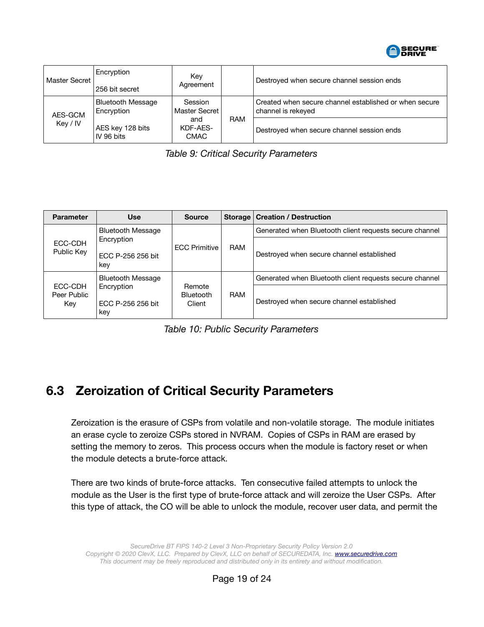

| Master Secret       | Encryption<br>256 bit secret           | Key<br>Agreement               |            | Destroyed when secure channel session ends                                   |
|---------------------|----------------------------------------|--------------------------------|------------|------------------------------------------------------------------------------|
| AES-GCM<br>Key / IV | <b>Bluetooth Message</b><br>Encryption | Session<br>Master Secret       | <b>RAM</b> | Created when secure channel established or when secure<br>channel is rekeyed |
|                     | AES key 128 bits<br>IV 96 bits         | and<br>KDF-AES-<br><b>CMAC</b> |            | Destroyed when secure channel session ends                                   |

*Table 9: Critical Security Parameters*

| <b>Parameter</b>              | <b>Use</b>                             | <b>Source</b>                        |            | Storage   Creation / Destruction                        |
|-------------------------------|----------------------------------------|--------------------------------------|------------|---------------------------------------------------------|
| ECC-CDH<br>Public Key         | <b>Bluetooth Message</b>               |                                      | <b>RAM</b> | Generated when Bluetooth client requests secure channel |
|                               | Encryption<br>FCC P-256 256 bit<br>key | <b>ECC Primitive</b>                 |            | Destroyed when secure channel established               |
|                               | <b>Bluetooth Message</b>               |                                      |            | Generated when Bluetooth client requests secure channel |
| ECC-CDH<br>Peer Public<br>Key | Encryption<br>ECC P-256 256 bit<br>key | Remote<br><b>Bluetooth</b><br>Client | <b>RAM</b> | Destroyed when secure channel established               |

*Table 10: Public Security Parameters*

## <span id="page-18-0"></span> **6.3 Zeroization of Critical Security Parameters**

Zeroization is the erasure of CSPs from volatile and non-volatile storage. The module initiates an erase cycle to zeroize CSPs stored in NVRAM. Copies of CSPs in RAM are erased by setting the memory to zeros. This process occurs when the module is factory reset or when the module detects a brute-force attack.

There are two kinds of brute-force attacks. Ten consecutive failed attempts to unlock the module as the User is the first type of brute-force attack and will zeroize the User CSPs. After this type of attack, the CO will be able to unlock the module, recover user data, and permit the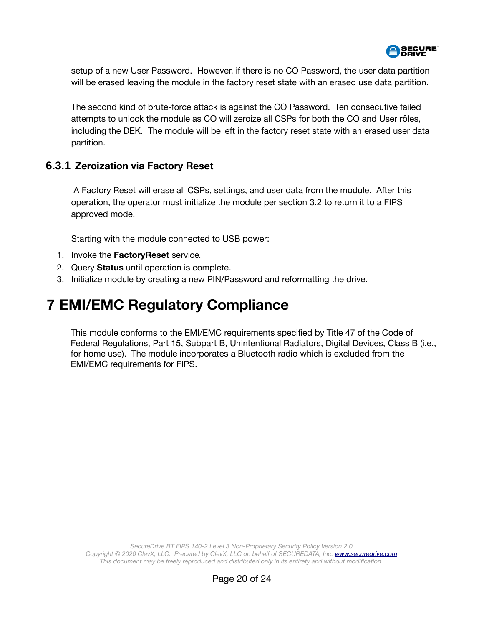

setup of a new User Password. However, if there is no CO Password, the user data partition will be erased leaving the module in the factory reset state with an erased use data partition.

The second kind of brute-force attack is against the CO Password. Ten consecutive failed attempts to unlock the module as CO will zeroize all CSPs for both the CO and User rôles, including the DEK. The module will be left in the factory reset state with an erased user data partition.

#### **6.3.1 Zeroization via Factory Reset**

 A Factory Reset will erase all CSPs, settings, and user data from the module. After this operation, the operator must initialize the module per section [3.2](#page-9-0) to return it to a FIPS approved mode.

Starting with the module connected to USB power:

- 1. Invoke the **FactoryReset** service*.*
- 2. Query **Status** until operation is complete.
- 3. Initialize module by creating a new PIN/Password and reformatting the drive.

## <span id="page-19-0"></span> **7 EMI/EMC Regulatory Compliance**

This module conforms to the EMI/EMC requirements specified by Title 47 of the Code of Federal Regulations, Part 15, Subpart B, Unintentional Radiators, Digital Devices, Class B (i.e., for home use). The module incorporates a Bluetooth radio which is excluded from the EMI/EMC requirements for FIPS.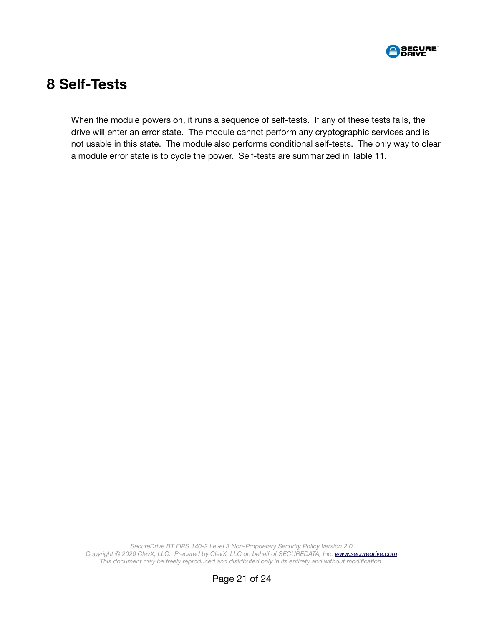

## <span id="page-20-0"></span> **8 Self-Tests**

When the module powers on, it runs a sequence of self-tests. If any of these tests fails, the drive will enter an error state. The module cannot perform any cryptographic services and is not usable in this state. The module also performs conditional self-tests. The only way to clear a module error state is to cycle the power. Self-tests are summarized in [Table 11](#page-21-0).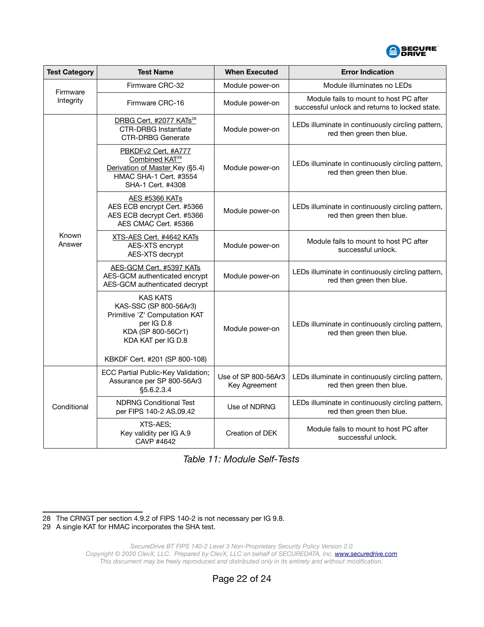

| <b>Test Category</b> | <b>Test Name</b>                                                                                                                                                      | <b>When Executed</b>                 | <b>Error Indication</b>                                                                  |
|----------------------|-----------------------------------------------------------------------------------------------------------------------------------------------------------------------|--------------------------------------|------------------------------------------------------------------------------------------|
| Firmware             | Firmware CRC-32                                                                                                                                                       | Module power-on                      | Module illuminates no LEDs                                                               |
| Integrity            | Firmware CRC-16                                                                                                                                                       | Module power-on                      | Module fails to mount to host PC after<br>successful unlock and returns to locked state. |
|                      | DRBG Cert. #2077 KATs <sup>28</sup><br><b>CTR-DRBG Instantiate</b><br><b>CTR-DRBG Generate</b>                                                                        | Module power-on                      | LEDs illuminate in continuously circling pattern,<br>red then green then blue.           |
|                      | PBKDFv2 Cert. #A777<br>Combined KAT <sup>29</sup><br>Derivation of Master Key (§5.4)<br>HMAC SHA-1 Cert. #3554<br>SHA-1 Cert. #4308                                   | Module power-on                      | LEDs illuminate in continuously circling pattern,<br>red then green then blue.           |
|                      | <b>AES #5366 KATs</b><br>AES ECB encrypt Cert. #5366<br>AES ECB decrypt Cert. #5366<br>AES CMAC Cert. #5366                                                           | Module power-on                      | LEDs illuminate in continuously circling pattern,<br>red then green then blue.           |
| Known<br>Answer      | XTS-AES Cert. #4642 KATs<br>AES-XTS encrypt<br>AES-XTS decrypt                                                                                                        | Module power-on                      | Module fails to mount to host PC after<br>successful unlock.                             |
|                      | AES-GCM Cert. #5397 KATs<br>AES-GCM authenticated encrypt<br>AES-GCM authenticated decrypt                                                                            | Module power-on                      | LEDs illuminate in continuously circling pattern,<br>red then green then blue.           |
|                      | <b>KAS KATS</b><br>KAS-SSC (SP 800-56Ar3)<br>Primitive 'Z' Computation KAT<br>per IG D.8<br>KDA (SP 800-56Cr1)<br>KDA KAT per IG D.8<br>KBKDF Cert. #201 (SP 800-108) | Module power-on                      | LEDs illuminate in continuously circling pattern,<br>red then green then blue.           |
| Conditional          | ECC Partial Public-Key Validation;<br>Assurance per SP 800-56Ar3<br>§5.6.2.3.4                                                                                        | Use of SP 800-56Ar3<br>Key Agreement | LEDs illuminate in continuously circling pattern,<br>red then green then blue.           |
|                      | <b>NDRNG Conditional Test</b><br>per FIPS 140-2 AS.09.42                                                                                                              | Use of NDRNG                         | LEDs illuminate in continuously circling pattern,<br>red then green then blue.           |
|                      | XTS-AES;<br>Key validity per IG A.9<br>CAVP #4642                                                                                                                     | Creation of DEK                      | Module fails to mount to host PC after<br>successful unlock.                             |

<span id="page-21-0"></span>*Table 11: Module Self-Tests*

<span id="page-21-1"></span>28 The CRNGT per section 4.9.2 of FIPS 140-2 is not necessary per IG 9.8.

<span id="page-21-2"></span><sup>29</sup> A single KAT for HMAC incorporates the SHA test.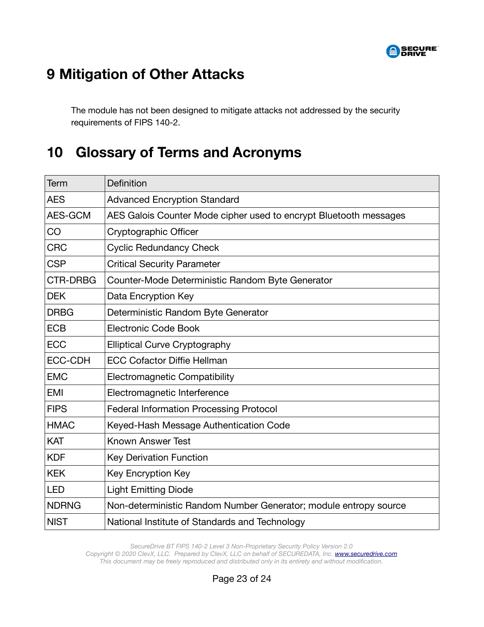

# <span id="page-22-0"></span> **9 Mitigation of Other Attacks**

The module has not been designed to mitigate attacks not addressed by the security requirements of FIPS 140-2.

## <span id="page-22-1"></span> **10 Glossary of Terms and Acronyms**

| Term            | Definition                                                        |
|-----------------|-------------------------------------------------------------------|
| <b>AES</b>      | <b>Advanced Encryption Standard</b>                               |
| AES-GCM         | AES Galois Counter Mode cipher used to encrypt Bluetooth messages |
| CO              | Cryptographic Officer                                             |
| <b>CRC</b>      | <b>Cyclic Redundancy Check</b>                                    |
| <b>CSP</b>      | <b>Critical Security Parameter</b>                                |
| <b>CTR-DRBG</b> | Counter-Mode Deterministic Random Byte Generator                  |
| <b>DEK</b>      | Data Encryption Key                                               |
| <b>DRBG</b>     | Deterministic Random Byte Generator                               |
| <b>ECB</b>      | <b>Electronic Code Book</b>                                       |
| <b>ECC</b>      | <b>Elliptical Curve Cryptography</b>                              |
| <b>ECC-CDH</b>  | <b>ECC Cofactor Diffie Hellman</b>                                |
| <b>EMC</b>      | <b>Electromagnetic Compatibility</b>                              |
| <b>EMI</b>      | Electromagnetic Interference                                      |
| <b>FIPS</b>     | <b>Federal Information Processing Protocol</b>                    |
| <b>HMAC</b>     | Keyed-Hash Message Authentication Code                            |
| <b>KAT</b>      | <b>Known Answer Test</b>                                          |
| <b>KDF</b>      | <b>Key Derivation Function</b>                                    |
| <b>KEK</b>      | Key Encryption Key                                                |
| <b>LED</b>      | <b>Light Emitting Diode</b>                                       |
| <b>NDRNG</b>    | Non-deterministic Random Number Generator; module entropy source  |
| <b>NIST</b>     | National Institute of Standards and Technology                    |

*SecureDrive BT FIPS 140-2 Level 3 Non-Proprietary Security Policy Version 2.0 Copyright © 2020 ClevX, LLC. Prepared by ClevX, LLC on behalf of SECUREDATA, Inc. [www.securedrive.com](https://www.securedrive.com/) This document may be freely reproduced and distributed only in its entirety and without modification.*